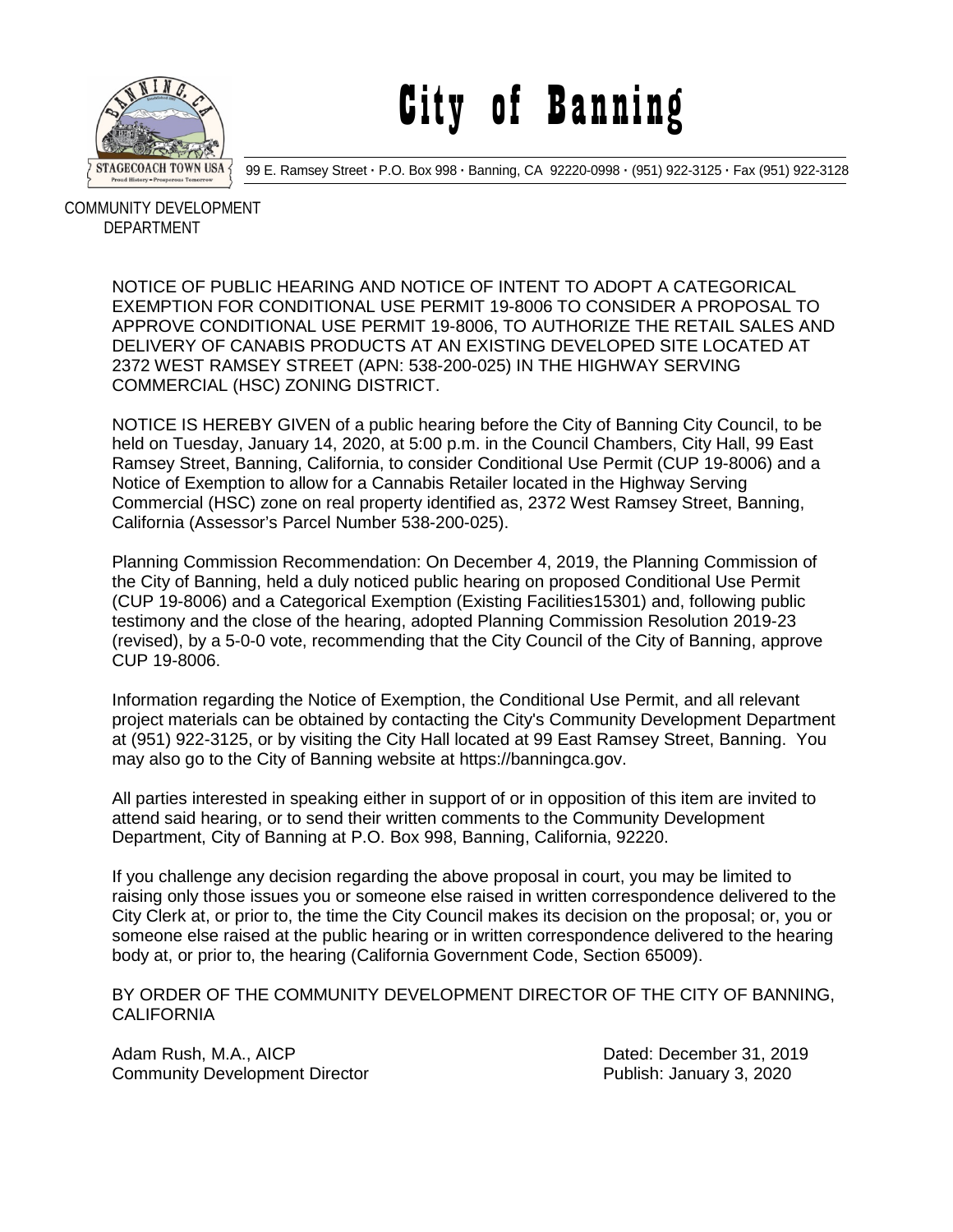

## City of Banning

99 E. Ramsey Street **·** P.O. Box 998 **·** Banning, CA 92220-0998 **·** (951) 922-3125 **·** Fax (951) 922-3128

 COMMUNITY DEVELOPMENT DEPARTMENT

> NOTICE OF PUBLIC HEARING AND NOTICE OF INTENT TO ADOPT A CATEGORICAL EXEMPTION FOR CONDITIONAL USE PERMIT 19-8006 TO CONSIDER A PROPOSAL TO APPROVE CONDITIONAL USE PERMIT 19-8006, TO AUTHORIZE THE RETAIL SALES AND DELIVERY OF CANABIS PRODUCTS AT AN EXISTING DEVELOPED SITE LOCATED AT 2372 WEST RAMSEY STREET (APN: 538-200-025) IN THE HIGHWAY SERVING COMMERCIAL (HSC) ZONING DISTRICT.

NOTICE IS HEREBY GIVEN of a public hearing before the City of Banning City Council, to be held on Tuesday, January 14, 2020, at 5:00 p.m. in the Council Chambers, City Hall, 99 East Ramsey Street, Banning, California, to consider Conditional Use Permit (CUP 19-8006) and a Notice of Exemption to allow for a Cannabis Retailer located in the Highway Serving Commercial (HSC) zone on real property identified as, 2372 West Ramsey Street, Banning, California (Assessor's Parcel Number 538-200-025).

Planning Commission Recommendation: On December 4, 2019, the Planning Commission of the City of Banning, held a duly noticed public hearing on proposed Conditional Use Permit (CUP 19-8006) and a Categorical Exemption (Existing Facilities15301) and, following public testimony and the close of the hearing, adopted Planning Commission Resolution 2019-23 (revised), by a 5-0-0 vote, recommending that the City Council of the City of Banning, approve CUP 19-8006.

Information regarding the Notice of Exemption, the Conditional Use Permit, and all relevant project materials can be obtained by contacting the City's Community Development Department at (951) 922-3125, or by visiting the City Hall located at 99 East Ramsey Street, Banning. You may also go to the City of Banning website at https://banningca.gov.

All parties interested in speaking either in support of or in opposition of this item are invited to attend said hearing, or to send their written comments to the Community Development Department, City of Banning at P.O. Box 998, Banning, California, 92220.

If you challenge any decision regarding the above proposal in court, you may be limited to raising only those issues you or someone else raised in written correspondence delivered to the City Clerk at, or prior to, the time the City Council makes its decision on the proposal; or, you or someone else raised at the public hearing or in written correspondence delivered to the hearing body at, or prior to, the hearing (California Government Code, Section 65009).

BY ORDER OF THE COMMUNITY DEVELOPMENT DIRECTOR OF THE CITY OF BANNING, CALIFORNIA

Adam Rush, M.A., AICP Dated: December 31, 2019 Community Development Director Publish: January 3, 2020